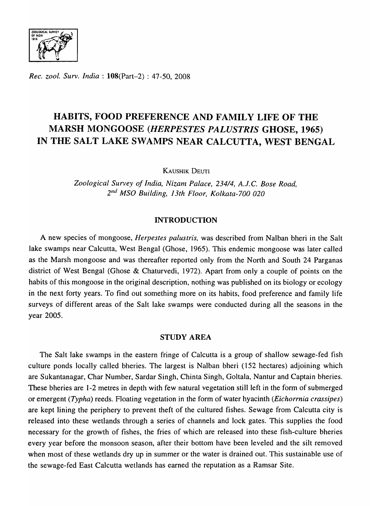

*Rec.* ZOO/. *Surv. India:* l08(Part-2) : 47-50, 2008

# HABITS, FOOD PREFERENCE AND FAMILY LIFE OF THE MARSH MONGOOSE *(HERPESTES PALUSTRIS* GHOSE, 1965) IN THE SALT LAKE SWAMPS NEAR CALCUTTA, WEST BENGAL

KAUSHIK DEUTI

*Zoological Survey of India, Nizam Palace, 23414, A .* .T. C. *Bose Road, 2nd MSO Building,* J *3th Floor, Kolkata-700 020* 

## INTRODUCTION

A new species of mongoose, *Herpestes palustris,* was described from Nalban bheri in the Salt lake swamps near Calcutta, West Bengal (Ghose, 1965). This endemic mongoose was later called as the Marsh mongoose and was thereafter reported only from the North and South 24 Parganas district of West Bengal (Ghose & Chaturvedi, 1972). Apart from only a couple of points on the habits of this mongoose in the original description, nothing was published on its biology or ecology in the next forty years. To find out something more on its habits, food preference and family life surveys of different areas of the Salt lake swamps were conducted during all the seasons in the year 2005.

# STUDY AREA

The Salt lake swamps in the eastern fringe of Calcutta is a group of shallow sewage-fed fish culture ponds locally called bheries. The largest is Nalban bheri (152 hectares) adjoining which are Sukantanagar, Char Number, Sardar Singh, Chinta Singh, Goltala, Nantur and Captain bheries. These bheries are 1-2 metres in depth with few natural vegetation still left in the form of submerged or emergent *(Typha)* reeds. Floating vegetation in the form of water hyacinth *(Eichorrnia crassipes)*  are kept lining the periphery to prevent theft of the cultured fishes. Sewage from Calcutta city is released into these wetlands through a series of channels and lock gates. This supplies the food necessary for the growth of fishes, the fries of which are released into these fish-culture bheries every year before the monsoon season, after their bottom have been leveled and the silt removed when most of these wetlands dry up in summer or the water is drained out. This sustainable use of the sewage-fed East Calcutta wetlands has earned the reputation as a Ramsar Site.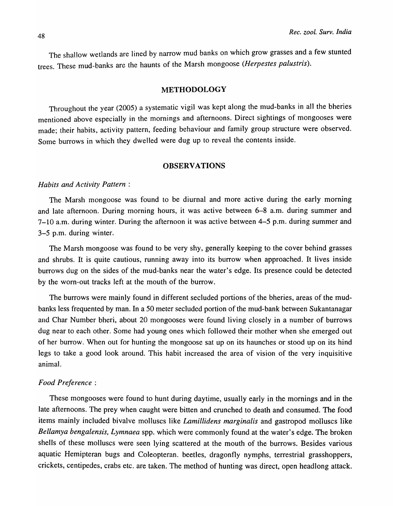The shallow wetlands are lined by narrow mud banks on which grow grasses and a few stunted trees. These mud-banks are the haunts of the Marsh mongoose *(Herpestes palustris).* 

## METHODOLOGY

Throughout the year (2005) a systematic vigil was kept along the mud-banks in all the bheries mentioned above especially in the mornings and afternoons. Direct sightings of mongooses were made; their habits, activity pattern, feeding behaviour and family group structure were observed. Some burrows in which they dwelled were dug up to reveal the contents inside.

#### **OBSERVATIONS**

#### *Habits and Activity Pattern:*

The Marsh mongoose was found to be diurnal and more active during the early morning and late afternoon. During morning hours, it was active between 6-8 a.m. during summer and 7-10 a.m. during winter. During the afternoon it was active between 4-5 p.m. during summer and 3-5 p.m. during winter.

The Marsh mongoose was found to be very shy, generaIIy keeping to the cover behind grasses and shrubs. It is quite cautious, running away into its burrow when approached. It lives inside burrows dug on the sides of the mud-banks near the water's edge. Its presence could be detected by the worn-out tracks left at the mouth of the burrow.

The burrows were mainly found in different secluded portions of the bheries, areas of the mudbanks less frequented by man. In a 50 meter secluded portion of the mud-bank between Sukantanagar and Char Number bheri, about 20 mongooses were found living closely in a number of burrows dug near to each other. Some had young ones which followed their mother when she emerged out of her burrow. When out for hunting the mongoose sat up on its haunches or stood up on its hind legs to take a good look around. This habit increased the area of vision of the very inquisitive animal.

## *Food Preference:*

These mongooses were found to hunt during daytime, usually early in the mornings and in the late afternoons. The prey when caught were bitten and crunched to death and consumed. The food items mainly included bivalve molluscs like *Lamillidens marginalis* and gastropod molluscs like *Bellamya bengaiensis, LYlnnaea* spp. which were commonly found at the water's edge. The broken shells of these molluscs were seen lying scattered at the mouth of the burrows. Besides various aquatic Hemipteran bugs and Coleopteran. beetles, dragonfly nymphs, terrestrial grasshoppers, crickets, centipedes, crabs etc. are taken. The method of hunting was direct, open headlong attack.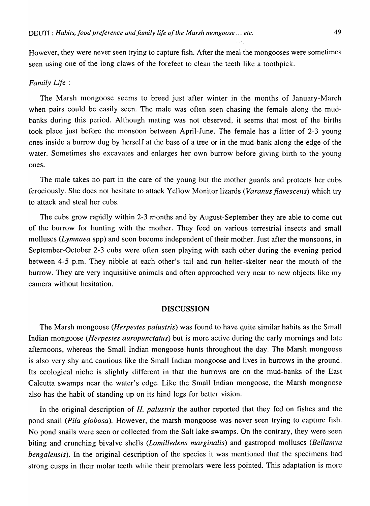However, they were never seen trying to capture fish. After the meal the mongooses were sometimes seen using one of the long claws of the forefeet to clean the teeth like a toothpick.

#### *Family Life* :

The Marsh mongoose seems to breed just after winter in the months of January-March when pairs could be easily seen. The male was often seen chasing the female along the mudbanks during this period. Although mating was not observed, it seems that most of the births took place just before the monsoon between April-June. The female has a litter of 2-3 young ones inside a burrow dug by herself at the base of a tree or in the mud-bank along the edge of the water. Sometimes she excavates and enlarges her own burrow before giving birth to the young ones.

The male takes no part in the care of the young but the mother guards and protects her cubs ferociously. She does not hesitate to attack Yellow Monitor lizards *(Varanusflavescens)* which try to attack and steal her cubs.

The cubs grow rapidly within 2-3 months and by August-September they are able to come out of the burrow for hunting with the mother. They feed on various terrestrial insects and small molluscs *(Lymnaea* spp) and soon become independent of their mother. Just after the monsoons, in September-October 2-3 cubs were often seen playing with each other during the evening period between 4-5 p.m. They nibble at each other's tail and run helter-skelter near the mouth of the burrow. They are very inquisitive animals and often approached very near to new objects like n1y camera without hesitation.

## DISCUSSION

The Marsh mongoose *(Herpestes palustris)* was found to have quite similar habits as the Small Indian mongoose *(Herpestes auropunctatus)* but is more active during the early mornings and late afternoons, whereas the Small Indian mongoose hunts throughout the day. The Marsh mongoose is also very shy and cautious like the Small Indian mongoose and lives in burrows in the ground. Its ecological niche is slightly different in that the burrows are on the mud-banks of the East Calcutta swamps near the water's edge. Like the Small Indian mongoose, the Marsh mongoose also has the habit of standing up on its hind legs for better vision.

In the original description of *H. palustris* the author reported that they fed on fishes and the pond snail *(Pita globosa).* However, the marsh mongoose was never seen trying to capture fish. No pond snails were seen or collected from the Salt lake swamps. On the contrary, they were seen biting and crunching bivalve shells *(Lamilledens marginalis)* and gastropod molluscs *(Bellanlya bengalensis).* In the original description of the species it was mentioned that the specimens had strong cusps in their molar teeth while their premolars were less pointed. This adaptation is morc